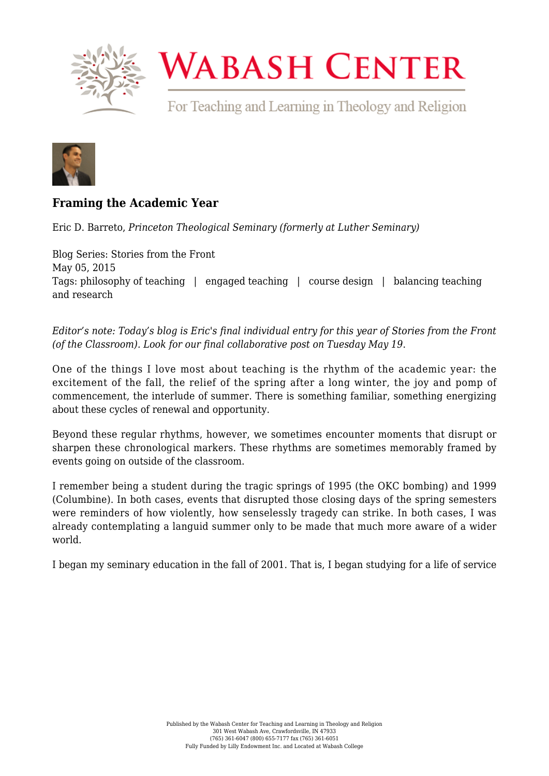

## **WABASH CENTER**

For Teaching and Learning in Theology and Religion



## **[Framing the Academic Year](https://www.wabashcenter.wabash.edu/2015/05/framing-the-academic-year/)**

Eric D. Barreto, *Princeton Theological Seminary (formerly at Luther Seminary)*

Blog Series: Stories from the Front May 05, 2015 Tags: philosophy of teaching | engaged teaching | course design | balancing teaching and research

*Editor's note: Today's blog is Eric's final individual entry for this year of Stories from the Front (of the Classroom). Look for our final collaborative post on Tuesday May 19*.

One of the things I love most about teaching is the rhythm of the academic year: the excitement of the fall, the relief of the spring after a long winter, the joy and pomp of commencement, the interlude of summer. There is something familiar, something energizing about these cycles of renewal and opportunity.

Beyond these regular rhythms, however, we sometimes encounter moments that disrupt or sharpen these chronological markers. These rhythms are sometimes memorably framed by events going on outside of the classroom.

I remember being a student during the tragic springs of 1995 (the OKC bombing) and 1999 (Columbine). In both cases, events that disrupted those closing days of the spring semesters were reminders of how violently, how senselessly tragedy can strike. In both cases, I was already contemplating a languid summer only to be made that much more aware of a wider world.

I began my seminary education in the fall of 2001. That is, I began studying for a life of service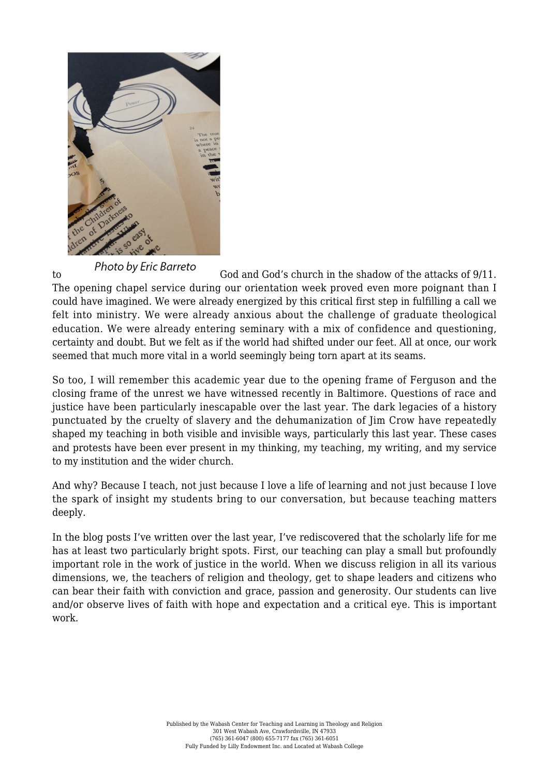

to [G](http://live-wabash.pantheonsite.io/wp-content/uploads/2016/07/6a016301e4b359970d01b7c784870c970b-pi.png)od and God's church in the shadow of the attacks of 9/11. The opening chapel service during our orientation week proved even more poignant than I could have imagined. We were already energized by this critical first step in fulfilling a call we felt into ministry. We were already anxious about the challenge of graduate theological education. We were already entering seminary with a mix of confidence and questioning, certainty and doubt. But we felt as if the world had shifted under our feet. All at once, our work seemed that much more vital in a world seemingly being torn apart at its seams.

So too, I will remember this academic year due to the opening frame of Ferguson and the closing frame of the unrest we have witnessed recently in Baltimore. Questions of race and justice have been particularly inescapable over the last year. The dark legacies of a history punctuated by the cruelty of slavery and the dehumanization of Jim Crow have repeatedly shaped my teaching in both visible and invisible ways, particularly this last year. These cases and protests have been ever present in my thinking, my teaching, my writing, and my service to my institution and the wider church.

And why? Because I teach, not just because I love a life of learning and not just because I love the spark of insight my students bring to our conversation, but because teaching matters deeply.

In the blog posts I've written over the last year, I've rediscovered that the scholarly life for me has at least two particularly bright spots. First, our teaching can play a small but profoundly important role in the work of justice in the world. When we discuss religion in all its various dimensions, we, the teachers of religion and theology, get to shape leaders and citizens who can bear their faith with conviction and grace, passion and generosity. Our students can live and/or observe lives of faith with hope and expectation and a critical eye. This is important work.